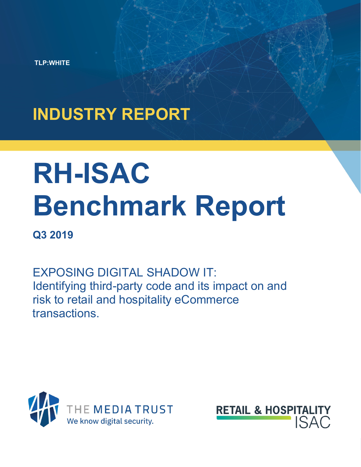**TLP:WHITE**

## **INDUSTRY REPORT**

# **RH-ISAC Benchmark Report**

### **Q3 2019**

EXPOSING DIGITAL SHADOW IT: Identifying third-party code and its impact on and risk to retail and hospitality eCommerce transactions.



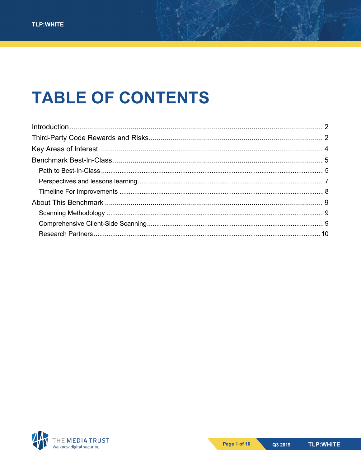### **TABLE OF CONTENTS**

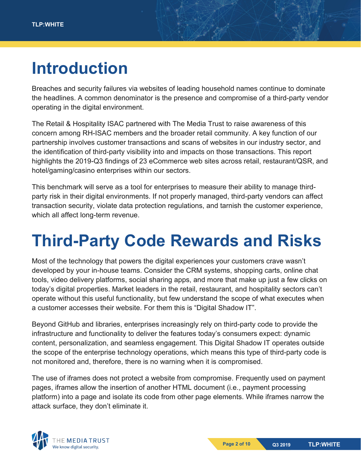### <span id="page-2-0"></span>**Introduction**

Breaches and security failures via websites of leading household names continue to dominate the headlines. A common denominator is the presence and compromise of a third-party vendor operating in the digital environment.

The Retail & Hospitality ISAC partnered with The Media Trust to raise awareness of this concern among RH-ISAC members and the broader retail community. A key function of our partnership involves customer transactions and scans of websites in our industry sector, and the identification of third-party visibility into and impacts on those transactions. This report highlights the 2019-Q3 findings of 23 eCommerce web sites across retail, restaurant/QSR, and hotel/gaming/casino enterprises within our sectors.

This benchmark will serve as a tool for enterprises to measure their ability to manage thirdparty risk in their digital environments. If not properly managed, third-party vendors can affect transaction security, violate data protection regulations, and tarnish the customer experience, which all affect long-term revenue.

### <span id="page-2-1"></span>**Third-Party Code Rewards and Risks**

Most of the technology that powers the digital experiences your customers crave wasn't developed by your in-house teams. Consider the CRM systems, shopping carts, online chat tools, video delivery platforms, social sharing apps, and more that make up just a few clicks on today's digital properties. Market leaders in the retail, restaurant, and hospitality sectors can't operate without this useful functionality, but few understand the scope of what executes when a customer accesses their website. For them this is "Digital Shadow IT".

Beyond GitHub and libraries, enterprises increasingly rely on third-party code to provide the infrastructure and functionality to deliver the features today's consumers expect: dynamic content, personalization, and seamless engagement. This Digital Shadow IT operates outside the scope of the enterprise technology operations, which means this type of third-party code is not monitored and, therefore, there is no warning when it is compromised.

The use of iframes does not protect a website from compromise. Frequently used on payment pages, iframes allow the insertion of another HTML document (i.e., payment processing platform) into a page and isolate its code from other page elements. While iframes narrow the attack surface, they don't eliminate it.

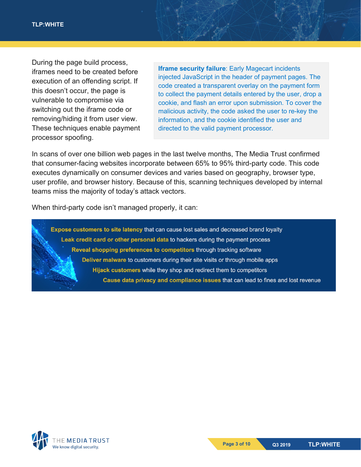During the page build process, iframes need to be created before execution of an offending script. If this doesn't occur, the page is vulnerable to compromise via switching out the iframe code or removing/hiding it from user view. These techniques enable payment processor spoofing.

**Iframe security failure**: Early Magecart incidents injected JavaScript in the header of payment pages. The code created a transparent overlay on the payment form to collect the payment details entered by the user, drop a cookie, and flash an error upon submission. To cover the malicious activity, the code asked the user to re-key the information, and the cookie identified the user and directed to the valid payment processor.

In scans of over one billion web pages in the last twelve months, The Media Trust confirmed that consumer-facing websites incorporate between 65% to 95% third-party code. This code executes dynamically on consumer devices and varies based on geography, browser type, user profile, and browser history. Because of this, scanning techniques developed by internal teams miss the majority of today's attack vectors.

When third-party code isn't managed properly, it can:

Expose customers to site latency that can cause lost sales and decreased brand loyalty Leak credit card or other personal data to hackers during the payment process Reveal shopping preferences to competitors through tracking software Deliver malware to customers during their site visits or through mobile apps Hijack customers while they shop and redirect them to competitors Cause data privacy and compliance issues that can lead to fines and lost revenue

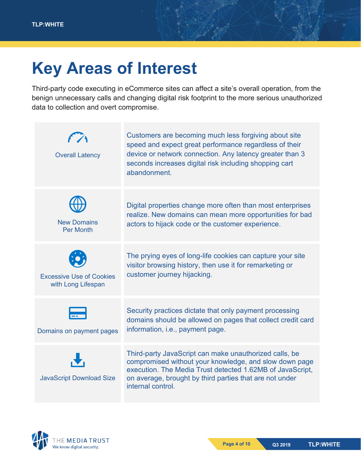### <span id="page-4-0"></span>**Key Areas of Interest**

Third-party code executing in eCommerce sites can affect a site's overall operation, from the benign unnecessary calls and changing digital risk footprint to the more serious unauthorized data to collection and overt compromise.

| <b>Overall Latency</b>                                | Customers are becoming much less forgiving about site<br>speed and expect great performance regardless of their<br>device or network connection. Any latency greater than 3<br>seconds increases digital risk including shopping cart<br>abandonment.         |
|-------------------------------------------------------|---------------------------------------------------------------------------------------------------------------------------------------------------------------------------------------------------------------------------------------------------------------|
| <b>New Domains</b><br><b>Per Month</b>                | Digital properties change more often than most enterprises<br>realize. New domains can mean more opportunities for bad<br>actors to hijack code or the customer experience.                                                                                   |
| <b>Excessive Use of Cookies</b><br>with Long Lifespan | The prying eyes of long-life cookies can capture your site<br>visitor browsing history, then use it for remarketing or<br>customer journey hijacking.                                                                                                         |
| Domains on payment pages                              | Security practices dictate that only payment processing<br>domains should be allowed on pages that collect credit card<br>information, i.e., payment page.                                                                                                    |
| <b>JavaScript Download Size</b>                       | Third-party JavaScript can make unauthorized calls, be<br>compromised without your knowledge, and slow down page<br>execution. The Media Trust detected 1.62MB of JavaScript,<br>on average, brought by third parties that are not under<br>internal control. |

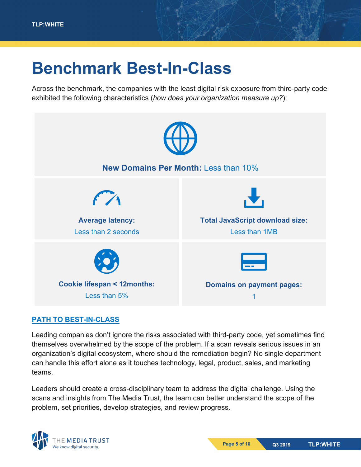### <span id="page-5-0"></span>**Benchmark Best-In-Class**

Across the benchmark, the companies with the least digital risk exposure from third-party code exhibited the following characteristics (*how does your organization measure up?*):



#### <span id="page-5-1"></span>**PATH TO BEST-IN-CLASS**

Leading companies don't ignore the risks associated with third-party code, yet sometimes find themselves overwhelmed by the scope of the problem. If a scan reveals serious issues in an organization's digital ecosystem, where should the remediation begin? No single department can handle this effort alone as it touches technology, legal, product, sales, and marketing teams.

Leaders should create a cross-disciplinary team to address the digital challenge. Using the scans and insights from The Media Trust, the team can better understand the scope of the problem, set priorities, develop strategies, and review progress.

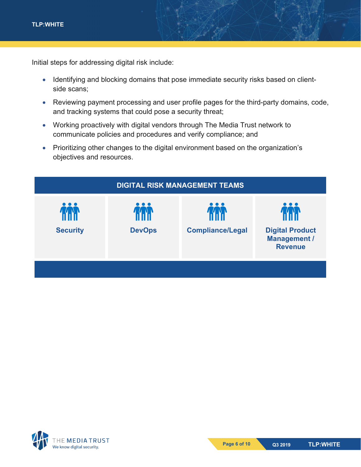Initial steps for addressing digital risk include:

- Identifying and blocking domains that pose immediate security risks based on clientside scans;
- Reviewing payment processing and user profile pages for the third-party domains, code, and tracking systems that could pose a security threat;
- Working proactively with digital vendors through The Media Trust network to communicate policies and procedures and verify compliance; and
- Prioritizing other changes to the digital environment based on the organization's objectives and resources.



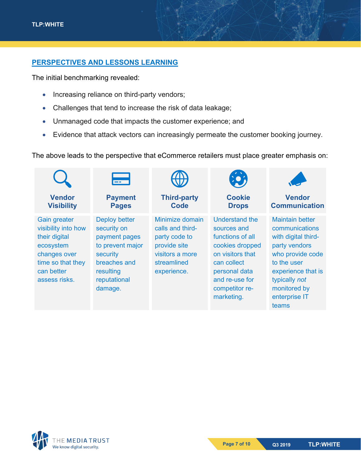#### <span id="page-7-0"></span>**PERSPECTIVES AND LESSONS LEARNING**

The initial benchmarking revealed:

- Increasing reliance on third-party vendors;
- Challenges that tend to increase the risk of data leakage;
- Unmanaged code that impacts the customer experience; and
- Evidence that attack vectors can increasingly permeate the customer booking journey.

The above leads to the perspective that eCommerce retailers must place greater emphasis on:

|                                                                                                                                              | $\equiv$                                                                                                                                     |                                                                                                                       | $\left( \begin{matrix} 0 \\ 0 \end{matrix} \right)$                                                                                                                        |                                                                                                                                                                                                      |
|----------------------------------------------------------------------------------------------------------------------------------------------|----------------------------------------------------------------------------------------------------------------------------------------------|-----------------------------------------------------------------------------------------------------------------------|----------------------------------------------------------------------------------------------------------------------------------------------------------------------------|------------------------------------------------------------------------------------------------------------------------------------------------------------------------------------------------------|
| <b>Vendor</b><br><b>Visibility</b>                                                                                                           | <b>Payment</b><br><b>Pages</b>                                                                                                               | <b>Third-party</b><br>Code                                                                                            | <b>Cookie</b><br><b>Drops</b>                                                                                                                                              | <b>Vendor</b><br><b>Communication</b>                                                                                                                                                                |
| <b>Gain greater</b><br>visibility into how<br>their digital<br>ecosystem<br>changes over<br>time so that they<br>can better<br>assess risks. | <b>Deploy better</b><br>security on<br>payment pages<br>to prevent major<br>security<br>breaches and<br>resulting<br>reputational<br>damage. | Minimize domain<br>calls and third-<br>party code to<br>provide site<br>visitors a more<br>streamlined<br>experience. | Understand the<br>sources and<br>functions of all<br>cookies dropped<br>on visitors that<br>can collect<br>personal data<br>and re-use for<br>competitor re-<br>marketing. | <b>Maintain better</b><br>communications<br>with digital third-<br>party vendors<br>who provide code<br>to the user<br>experience that is<br>typically not<br>monitored by<br>enterprise IT<br>teams |

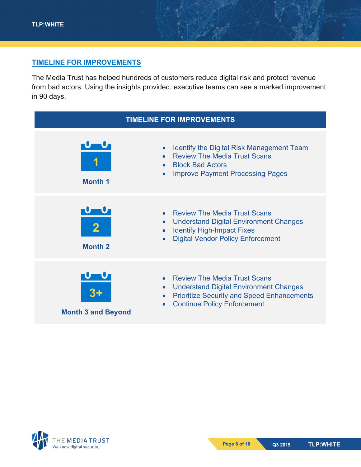#### <span id="page-8-0"></span>**TIMELINE FOR IMPROVEMENTS**

The Media Trust has helped hundreds of customers reduce digital risk and protect revenue from bad actors. Using the insights provided, executive teams can see a marked improvement in 90 days.



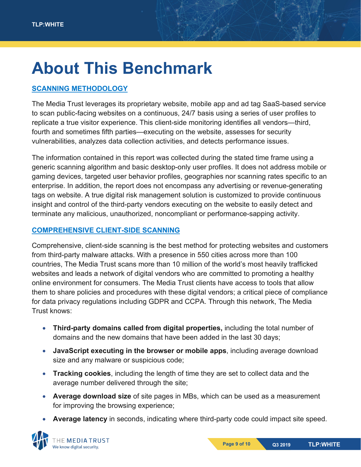### <span id="page-9-0"></span>**About This Benchmark**

#### <span id="page-9-1"></span>**SCANNING METHODOLOGY**

The Media Trust leverages its proprietary website, mobile app and ad tag SaaS-based service to scan public-facing websites on a continuous, 24/7 basis using a series of user profiles to replicate a true visitor experience. This client-side monitoring identifies all vendors—third, fourth and sometimes fifth parties—executing on the website, assesses for security vulnerabilities, analyzes data collection activities, and detects performance issues.

The information contained in this report was collected during the stated time frame using a generic scanning algorithm and basic desktop-only user profiles. It does not address mobile or gaming devices, targeted user behavior profiles, geographies nor scanning rates specific to an enterprise. In addition, the report does not encompass any advertising or revenue-generating tags on website. A true digital risk management solution is customized to provide continuous insight and control of the third-party vendors executing on the website to easily detect and terminate any malicious, unauthorized, noncompliant or performance-sapping activity.

#### <span id="page-9-2"></span>**COMPREHENSIVE CLIENT-SIDE SCANNING**

Comprehensive, client-side scanning is the best method for protecting websites and customers from third-party malware attacks. With a presence in 550 cities across more than 100 countries, The Media Trust scans more than 10 million of the world's most heavily trafficked websites and leads a network of digital vendors who are committed to promoting a healthy online environment for consumers. The Media Trust clients have access to tools that allow them to share policies and procedures with these digital vendors; a critical piece of compliance for data privacy regulations including GDPR and CCPA. Through this network, The Media Trust knows:

- **Third-party domains called from digital properties,** including the total number of domains and the new domains that have been added in the last 30 days;
- **JavaScript executing in the browser or mobile apps**, including average download size and any malware or suspicious code;
- **Tracking cookies**, including the length of time they are set to collect data and the average number delivered through the site;
- **Average download size** of site pages in MBs, which can be used as a measurement for improving the browsing experience;
- **Average latency** in seconds, indicating where third-party code could impact site speed.